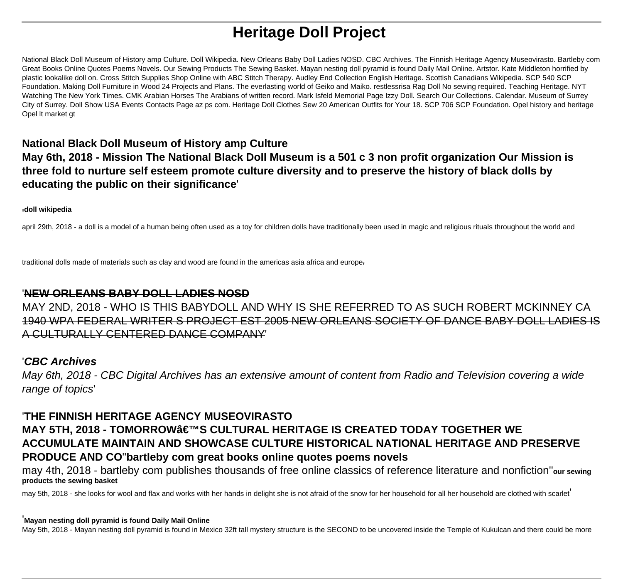# **Heritage Doll Project**

National Black Doll Museum of History amp Culture. Doll Wikipedia. New Orleans Baby Doll Ladies NOSD. CBC Archives. The Finnish Heritage Agency Museovirasto. Bartleby com Great Books Online Quotes Poems Novels. Our Sewing Products The Sewing Basket. Mayan nesting doll pyramid is found Daily Mail Online. Artstor. Kate Middleton horrified by plastic lookalike doll on. Cross Stitch Supplies Shop Online with ABC Stitch Therapy. Audley End Collection English Heritage. Scottish Canadians Wikipedia. SCP 540 SCP Foundation. Making Doll Furniture in Wood 24 Projects and Plans. The everlasting world of Geiko and Maiko. restlessrisa Rag Doll No sewing required. Teaching Heritage. NYT Watching The New York Times. CMK Arabian Horses The Arabians of written record. Mark Isfeld Memorial Page Izzy Doll. Search Our Collections. Calendar. Museum of Surrey City of Surrey. Doll Show USA Events Contacts Page az ps com. Heritage Doll Clothes Sew 20 American Outfits for Your 18. SCP 706 SCP Foundation. Opel history and heritage Opel lt market gt

# **National Black Doll Museum of History amp Culture May 6th, 2018 - Mission The National Black Doll Museum is a 501 c 3 non profit organization Our Mission is three fold to nurture self esteem promote culture diversity and to preserve the history of black dolls by educating the public on their significance**'

'**doll wikipedia**

april 29th, 2018 - a doll is a model of a human being often used as a toy for children dolls have traditionally been used in magic and religious rituals throughout the world and

traditional dolls made of materials such as clay and wood are found in the americas asia africa and europe<sub>'</sub>

### '**NEW ORLEANS BABY DOLL LADIES NOSD**

MAY 2ND, 2018 - WHO IS THIS BABYDOLL AND WHY IS SHE REFERRED TO AS SUCH ROBERT MCKINNEY CA 1940 WPA FEDERAL WRITER S PROJECT EST 2005 NEW ORLEANS SOCIETY OF DANCE BABY DOLL LADIES IS A CULTURALLY CENTERED DANCE COMPANY'

### '**CBC Archives**

May 6th, 2018 - CBC Digital Archives has an extensive amount of content from Radio and Television covering a wide range of topics'

## '**THE FINNISH HERITAGE AGENCY MUSEOVIRASTO MAY 5TH, 2018 - TOMORROW'S CULTURAL HERITAGE IS CREATED TODAY TOGETHER WE ACCUMULATE MAINTAIN AND SHOWCASE CULTURE HISTORICAL NATIONAL HERITAGE AND PRESERVE PRODUCE AND CO**''**bartleby com great books online quotes poems novels**

may 4th, 2018 - bartleby com publishes thousands of free online classics of reference literature and nonfiction''**our sewing products the sewing basket**

may 5th, 2018 - she looks for wool and flax and works with her hands in delight she is not afraid of the snow for her household for all her household are clothed with scarlet

#### '**Mayan nesting doll pyramid is found Daily Mail Online**

May 5th, 2018 - Mayan nesting doll pyramid is found in Mexico 32ft tall mystery structure is the SECOND to be uncovered inside the Temple of Kukulcan and there could be more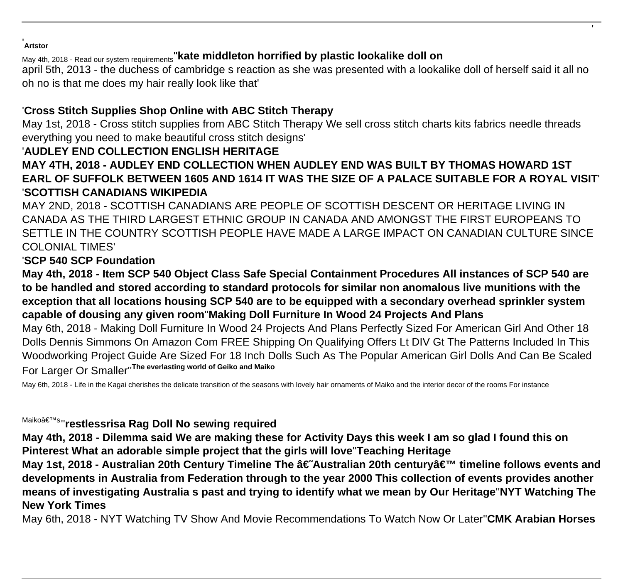'**Artstor**

May 4th, 2018 - Read our system requirements''**kate middleton horrified by plastic lookalike doll on**

april 5th, 2013 - the duchess of cambridge s reaction as she was presented with a lookalike doll of herself said it all no oh no is that me does my hair really look like that'

'

# '**Cross Stitch Supplies Shop Online with ABC Stitch Therapy**

May 1st, 2018 - Cross stitch supplies from ABC Stitch Therapy We sell cross stitch charts kits fabrics needle threads everything you need to make beautiful cross stitch designs'

# '**AUDLEY END COLLECTION ENGLISH HERITAGE**

**MAY 4TH, 2018 - AUDLEY END COLLECTION WHEN AUDLEY END WAS BUILT BY THOMAS HOWARD 1ST EARL OF SUFFOLK BETWEEN 1605 AND 1614 IT WAS THE SIZE OF A PALACE SUITABLE FOR A ROYAL VISIT**' '**SCOTTISH CANADIANS WIKIPEDIA**

MAY 2ND, 2018 - SCOTTISH CANADIANS ARE PEOPLE OF SCOTTISH DESCENT OR HERITAGE LIVING IN CANADA AS THE THIRD LARGEST ETHNIC GROUP IN CANADA AND AMONGST THE FIRST EUROPEANS TO SETTLE IN THE COUNTRY SCOTTISH PEOPLE HAVE MADE A LARGE IMPACT ON CANADIAN CULTURE SINCE COLONIAL TIMES'

# '**SCP 540 SCP Foundation**

**May 4th, 2018 - Item SCP 540 Object Class Safe Special Containment Procedures All instances of SCP 540 are to be handled and stored according to standard protocols for similar non anomalous live munitions with the exception that all locations housing SCP 540 are to be equipped with a secondary overhead sprinkler system capable of dousing any given room**''**Making Doll Furniture In Wood 24 Projects And Plans**

May 6th, 2018 - Making Doll Furniture In Wood 24 Projects And Plans Perfectly Sized For American Girl And Other 18 Dolls Dennis Simmons On Amazon Com FREE Shipping On Qualifying Offers Lt DIV Gt The Patterns Included In This Woodworking Project Guide Are Sized For 18 Inch Dolls Such As The Popular American Girl Dolls And Can Be Scaled For Larger Or Smaller''**The everlasting world of Geiko and Maiko**

May 6th, 2018 - Life in the Kagai cherishes the delicate transition of the seasons with lovely hair ornaments of Maiko and the interior decor of the rooms For instance

Maiko's"restlessrisa Rag Doll No sewing required

**May 4th, 2018 - Dilemma said We are making these for Activity Days this week I am so glad I found this on Pinterest What an adorable simple project that the girls will love**''**Teaching Heritage**

May 1st, 2018 - Australian 20th Century Timeline The †Australian 20th century a imeline follows events and **developments in Australia from Federation through to the year 2000 This collection of events provides another means of investigating Australia s past and trying to identify what we mean by Our Heritage**''**NYT Watching The New York Times**

May 6th, 2018 - NYT Watching TV Show And Movie Recommendations To Watch Now Or Later''**CMK Arabian Horses**